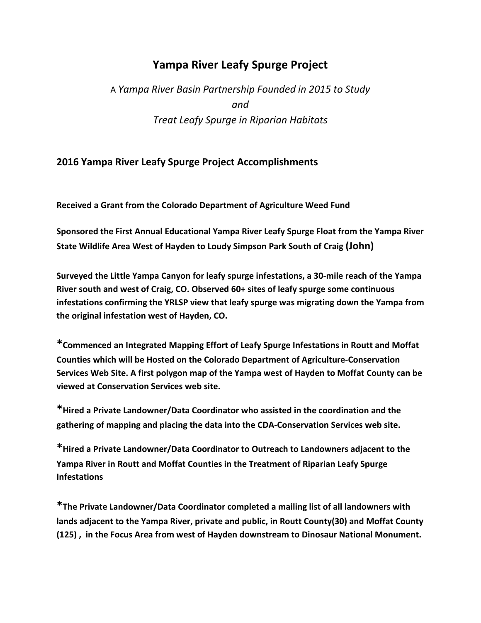## **Yampa River Leafy Spurge Project**

## A *Yampa River Basin Partnership Founded in 2015 to Study and Treat Leafy Spurge in Riparian Habitats*

## **2016 Yampa River Leafy Spurge Project Accomplishments**

**Received a Grant from the Colorado Department of Agriculture Weed Fund**

**Sponsored the First Annual Educational Yampa River Leafy Spurge Float from the Yampa River State Wildlife Area West of Hayden to Loudy Simpson Park South of Craig (John)**

**Surveyed the Little Yampa Canyon for leafy spurge infestations, a 30-mile reach of the Yampa River south and west of Craig, CO. Observed 60+ sites of leafy spurge some continuous infestations confirming the YRLSP view that leafy spurge was migrating down the Yampa from the original infestation west of Hayden, CO.** 

**\*Commenced an Integrated Mapping Effort of Leafy Spurge Infestations in Routt and Moffat Counties which will be Hosted on the Colorado Department of Agriculture-Conservation Services Web Site. A first polygon map of the Yampa west of Hayden to Moffat County can be viewed at Conservation Services web site.**

**\*Hired a Private Landowner/Data Coordinator who assisted in the coordination and the gathering of mapping and placing the data into the CDA-Conservation Services web site.** 

**\*Hired a Private Landowner/Data Coordinator to Outreach to Landowners adjacent to the Yampa River in Routt and Moffat Counties in the Treatment of Riparian Leafy Spurge Infestations**

**\*The Private Landowner/Data Coordinator completed a mailing list of all landowners with lands adjacent to the Yampa River, private and public, in Routt County(30) and Moffat County (125) , in the Focus Area from west of Hayden downstream to Dinosaur National Monument.**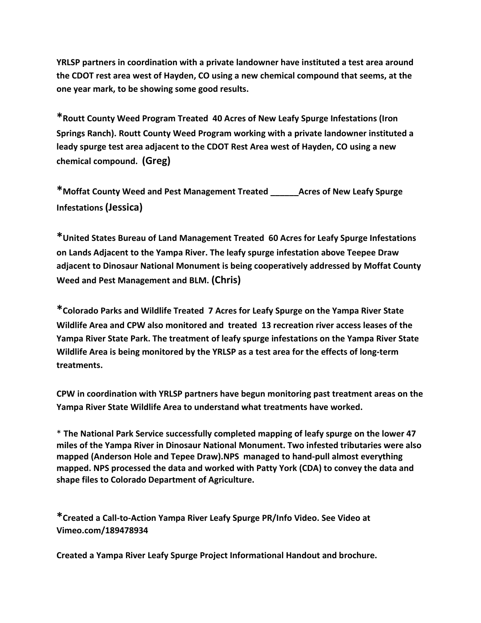**YRLSP partners in coordination with a private landowner have instituted a test area around the CDOT rest area west of Hayden, CO using a new chemical compound that seems, at the one year mark, to be showing some good results.** 

**\*Routt County Weed Program Treated 40 Acres of New Leafy Spurge Infestations (Iron Springs Ranch). Routt County Weed Program working with a private landowner instituted a leady spurge test area adjacent to the CDOT Rest Area west of Hayden, CO using a new chemical compound. (Greg)**

**\*Moffat County Weed and Pest Management Treated \_\_\_\_\_\_Acres of New Leafy Spurge Infestations (Jessica)**

**\*United States Bureau of Land Management Treated 60 Acres for Leafy Spurge Infestations on Lands Adjacent to the Yampa River. The leafy spurge infestation above Teepee Draw adjacent to Dinosaur National Monument is being cooperatively addressed by Moffat County Weed and Pest Management and BLM. (Chris)**

**\*Colorado Parks and Wildlife Treated 7 Acres for Leafy Spurge on the Yampa River State Wildlife Area and CPW also monitored and treated 13 recreation river access leases of the Yampa River State Park. The treatment of leafy spurge infestations on the Yampa River State Wildlife Area is being monitored by the YRLSP as a test area for the effects of long-term treatments.**

**CPW in coordination with YRLSP partners have begun monitoring past treatment areas on the Yampa River State Wildlife Area to understand what treatments have worked.** 

\* **The National Park Service successfully completed mapping of leafy spurge on the lower 47 miles of the Yampa River in Dinosaur National Monument. Two infested tributaries were also mapped (Anderson Hole and Tepee Draw).NPS managed to hand-pull almost everything mapped. NPS processed the data and worked with Patty York (CDA) to convey the data and shape files to Colorado Department of Agriculture.**

**\*Created a Call-to-Action Yampa River Leafy Spurge PR/Info Video. See Video at Vimeo.com/189478934**

**Created a Yampa River Leafy Spurge Project Informational Handout and brochure.**